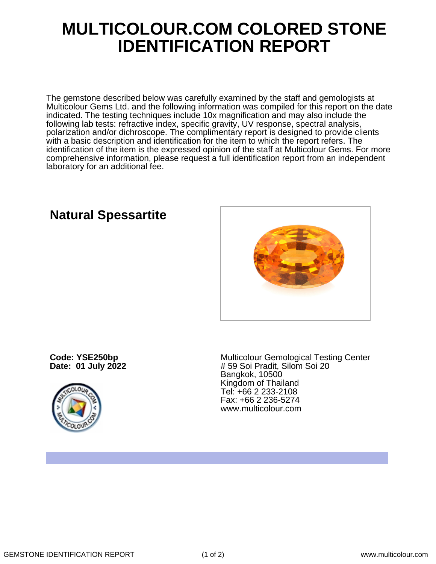## **MULTICOLOUR.COM COLORED STONE IDENTIFICATION REPORT**

The gemstone described below was carefully examined by the staff and gemologists at Multicolour Gems Ltd. and the following information was compiled for this report on the date indicated. The testing techniques include 10x magnification and may also include the following lab tests: refractive index, specific gravity, UV response, spectral analysis, polarization and/or dichroscope. The complimentary report is designed to provide clients with a basic description and identification for the item to which the report refers. The identification of the item is the expressed opinion of the staff at Multicolour Gems. For more comprehensive information, please request a full identification report from an independent laboratory for an additional fee.

## **Natural Spessartite**

**Code: YSE250bp Date: 01 July 2022**



Multicolour Gemological Testing Center # 59 Soi Pradit, Silom Soi 20 Bangkok, 10500 Kingdom of Thailand Tel: +66 2 233-2108 Fax: +66 2 236-5274 www.multicolour.com